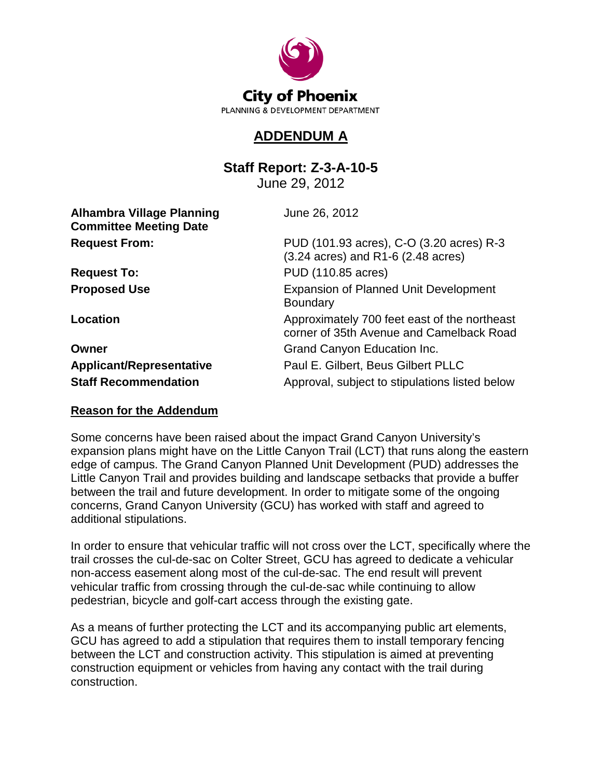

## **ADDENDUM A**

**Staff Report: Z-3-A-10-5**

June 29, 2012

| <b>Alhambra Village Planning</b><br><b>Committee Meeting Date</b> | June 26, 2012                                                                                      |
|-------------------------------------------------------------------|----------------------------------------------------------------------------------------------------|
| <b>Request From:</b>                                              | PUD (101.93 acres), C-O (3.20 acres) R-3<br>$(3.24 \text{ acres})$ and R1-6 $(2.48 \text{ acres})$ |
| <b>Request To:</b>                                                | PUD (110.85 acres)                                                                                 |
| <b>Proposed Use</b>                                               | <b>Expansion of Planned Unit Development</b><br><b>Boundary</b>                                    |
| Location                                                          | Approximately 700 feet east of the northeast<br>corner of 35th Avenue and Camelback Road           |
| Owner                                                             | Grand Canyon Education Inc.                                                                        |
| <b>Applicant/Representative</b>                                   | Paul E. Gilbert, Beus Gilbert PLLC                                                                 |
| <b>Staff Recommendation</b>                                       | Approval, subject to stipulations listed below                                                     |

## **Reason for the Addendum**

Some concerns have been raised about the impact Grand Canyon University's expansion plans might have on the Little Canyon Trail (LCT) that runs along the eastern edge of campus. The Grand Canyon Planned Unit Development (PUD) addresses the Little Canyon Trail and provides building and landscape setbacks that provide a buffer between the trail and future development. In order to mitigate some of the ongoing concerns, Grand Canyon University (GCU) has worked with staff and agreed to additional stipulations.

In order to ensure that vehicular traffic will not cross over the LCT, specifically where the trail crosses the cul-de-sac on Colter Street, GCU has agreed to dedicate a vehicular non-access easement along most of the cul-de-sac. The end result will prevent vehicular traffic from crossing through the cul-de-sac while continuing to allow pedestrian, bicycle and golf-cart access through the existing gate.

As a means of further protecting the LCT and its accompanying public art elements, GCU has agreed to add a stipulation that requires them to install temporary fencing between the LCT and construction activity. This stipulation is aimed at preventing construction equipment or vehicles from having any contact with the trail during construction.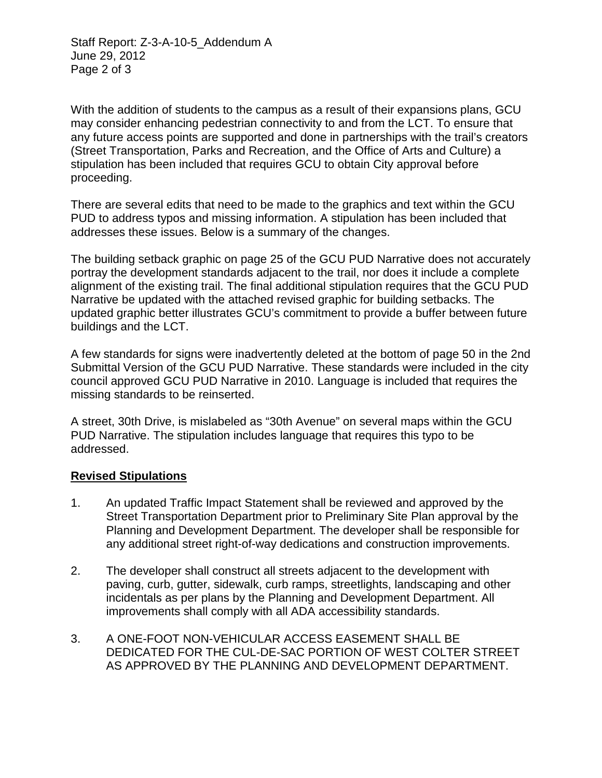Staff Report: Z-3-A-10-5\_Addendum A June 29, 2012 Page 2 of 3

With the addition of students to the campus as a result of their expansions plans, GCU may consider enhancing pedestrian connectivity to and from the LCT. To ensure that any future access points are supported and done in partnerships with the trail's creators (Street Transportation, Parks and Recreation, and the Office of Arts and Culture) a stipulation has been included that requires GCU to obtain City approval before proceeding.

There are several edits that need to be made to the graphics and text within the GCU PUD to address typos and missing information. A stipulation has been included that addresses these issues. Below is a summary of the changes.

The building setback graphic on page 25 of the GCU PUD Narrative does not accurately portray the development standards adjacent to the trail, nor does it include a complete alignment of the existing trail. The final additional stipulation requires that the GCU PUD Narrative be updated with the attached revised graphic for building setbacks. The updated graphic better illustrates GCU's commitment to provide a buffer between future buildings and the LCT.

A few standards for signs were inadvertently deleted at the bottom of page 50 in the 2nd Submittal Version of the GCU PUD Narrative. These standards were included in the city council approved GCU PUD Narrative in 2010. Language is included that requires the missing standards to be reinserted.

A street, 30th Drive, is mislabeled as "30th Avenue" on several maps within the GCU PUD Narrative. The stipulation includes language that requires this typo to be addressed.

## **Revised Stipulations**

- 1. An updated Traffic Impact Statement shall be reviewed and approved by the Street Transportation Department prior to Preliminary Site Plan approval by the Planning and Development Department. The developer shall be responsible for any additional street right-of-way dedications and construction improvements.
- 2. The developer shall construct all streets adjacent to the development with paving, curb, gutter, sidewalk, curb ramps, streetlights, landscaping and other incidentals as per plans by the Planning and Development Department. All improvements shall comply with all ADA accessibility standards.
- 3. A ONE-FOOT NON-VEHICULAR ACCESS EASEMENT SHALL BE DEDICATED FOR THE CUL-DE-SAC PORTION OF WEST COLTER STREET AS APPROVED BY THE PLANNING AND DEVELOPMENT DEPARTMENT.